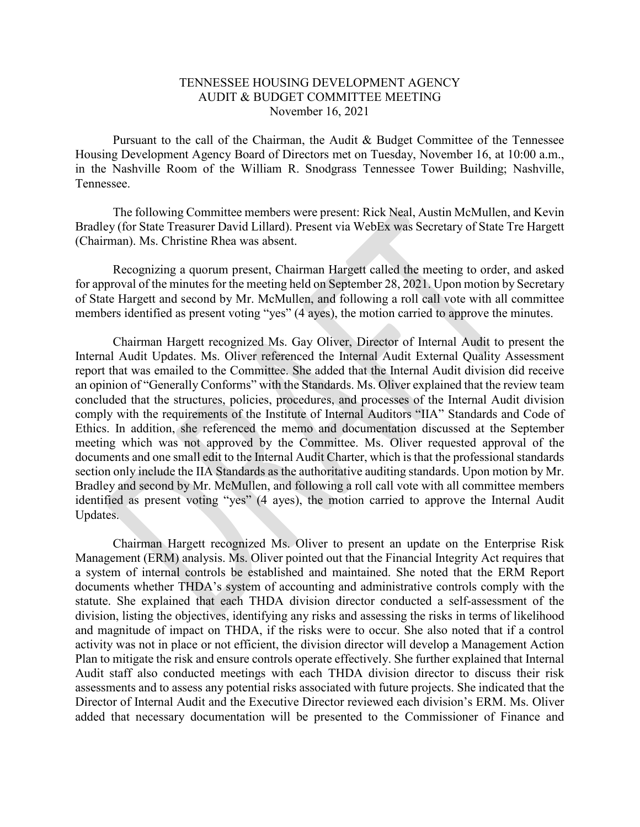## TENNESSEE HOUSING DEVELOPMENT AGENCY AUDIT & BUDGET COMMITTEE MEETING November 16, 2021

Pursuant to the call of the Chairman, the Audit & Budget Committee of the Tennessee Housing Development Agency Board of Directors met on Tuesday, November 16, at 10:00 a.m., in the Nashville Room of the William R. Snodgrass Tennessee Tower Building; Nashville, Tennessee.

The following Committee members were present: Rick Neal, Austin McMullen, and Kevin Bradley (for State Treasurer David Lillard). Present via WebEx was Secretary of State Tre Hargett (Chairman). Ms. Christine Rhea was absent.

Recognizing a quorum present, Chairman Hargett called the meeting to order, and asked for approval of the minutes for the meeting held on September 28, 2021. Upon motion by Secretary of State Hargett and second by Mr. McMullen, and following a roll call vote with all committee members identified as present voting "yes" (4 ayes), the motion carried to approve the minutes.

Chairman Hargett recognized Ms. Gay Oliver, Director of Internal Audit to present the Internal Audit Updates. Ms. Oliver referenced the Internal Audit External Quality Assessment report that was emailed to the Committee. She added that the Internal Audit division did receive an opinion of "Generally Conforms" with the Standards. Ms. Oliver explained that the review team concluded that the structures, policies, procedures, and processes of the Internal Audit division comply with the requirements of the Institute of Internal Auditors "IIA" Standards and Code of Ethics. In addition, she referenced the memo and documentation discussed at the September meeting which was not approved by the Committee. Ms. Oliver requested approval of the documents and one small edit to the Internal Audit Charter, which is that the professional standards section only include the IIA Standards as the authoritative auditing standards. Upon motion by Mr. Bradley and second by Mr. McMullen, and following a roll call vote with all committee members identified as present voting "yes" (4 ayes), the motion carried to approve the Internal Audit Updates.

Chairman Hargett recognized Ms. Oliver to present an update on the Enterprise Risk Management (ERM) analysis. Ms. Oliver pointed out that the Financial Integrity Act requires that a system of internal controls be established and maintained. She noted that the ERM Report documents whether THDA's system of accounting and administrative controls comply with the statute. She explained that each THDA division director conducted a self-assessment of the division, listing the objectives, identifying any risks and assessing the risks in terms of likelihood and magnitude of impact on THDA, if the risks were to occur. She also noted that if a control activity was not in place or not efficient, the division director will develop a Management Action Plan to mitigate the risk and ensure controls operate effectively. She further explained that Internal Audit staff also conducted meetings with each THDA division director to discuss their risk assessments and to assess any potential risks associated with future projects. She indicated that the Director of Internal Audit and the Executive Director reviewed each division's ERM. Ms. Oliver added that necessary documentation will be presented to the Commissioner of Finance and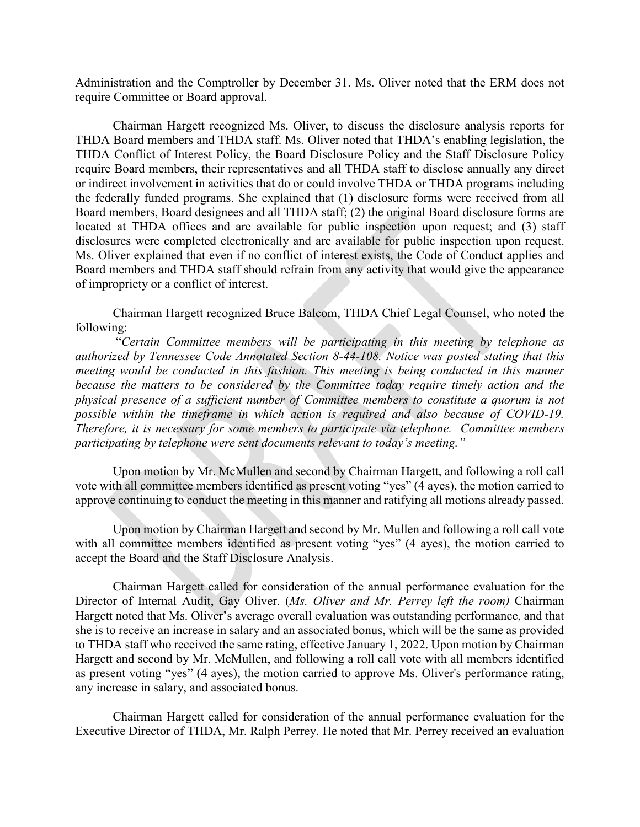Administration and the Comptroller by December 31. Ms. Oliver noted that the ERM does not require Committee or Board approval.

Chairman Hargett recognized Ms. Oliver, to discuss the disclosure analysis reports for THDA Board members and THDA staff. Ms. Oliver noted that THDA's enabling legislation, the THDA Conflict of Interest Policy, the Board Disclosure Policy and the Staff Disclosure Policy require Board members, their representatives and all THDA staff to disclose annually any direct or indirect involvement in activities that do or could involve THDA or THDA programs including the federally funded programs. She explained that (1) disclosure forms were received from all Board members, Board designees and all THDA staff; (2) the original Board disclosure forms are located at THDA offices and are available for public inspection upon request; and (3) staff disclosures were completed electronically and are available for public inspection upon request. Ms. Oliver explained that even if no conflict of interest exists, the Code of Conduct applies and Board members and THDA staff should refrain from any activity that would give the appearance of impropriety or a conflict of interest.

Chairman Hargett recognized Bruce Balcom, THDA Chief Legal Counsel, who noted the following:

"*Certain Committee members will be participating in this meeting by telephone as authorized by Tennessee Code Annotated Section 8-44-108. Notice was posted stating that this meeting would be conducted in this fashion. This meeting is being conducted in this manner because the matters to be considered by the Committee today require timely action and the physical presence of a sufficient number of Committee members to constitute a quorum is not possible within the timeframe in which action is required and also because of COVID-19. Therefore, it is necessary for some members to participate via telephone. Committee members participating by telephone were sent documents relevant to today's meeting."*

Upon motion by Mr. McMullen and second by Chairman Hargett, and following a roll call vote with all committee members identified as present voting "yes" (4 ayes), the motion carried to approve continuing to conduct the meeting in this manner and ratifying all motions already passed.

Upon motion by Chairman Hargett and second by Mr. Mullen and following a roll call vote with all committee members identified as present voting "yes" (4 ayes), the motion carried to accept the Board and the Staff Disclosure Analysis.

Chairman Hargett called for consideration of the annual performance evaluation for the Director of Internal Audit, Gay Oliver. (*Ms. Oliver and Mr. Perrey left the room)* Chairman Hargett noted that Ms. Oliver's average overall evaluation was outstanding performance, and that she is to receive an increase in salary and an associated bonus, which will be the same as provided to THDA staff who received the same rating, effective January 1, 2022. Upon motion by Chairman Hargett and second by Mr. McMullen, and following a roll call vote with all members identified as present voting "yes" (4 ayes), the motion carried to approve Ms. Oliver's performance rating, any increase in salary, and associated bonus.

Chairman Hargett called for consideration of the annual performance evaluation for the Executive Director of THDA, Mr. Ralph Perrey. He noted that Mr. Perrey received an evaluation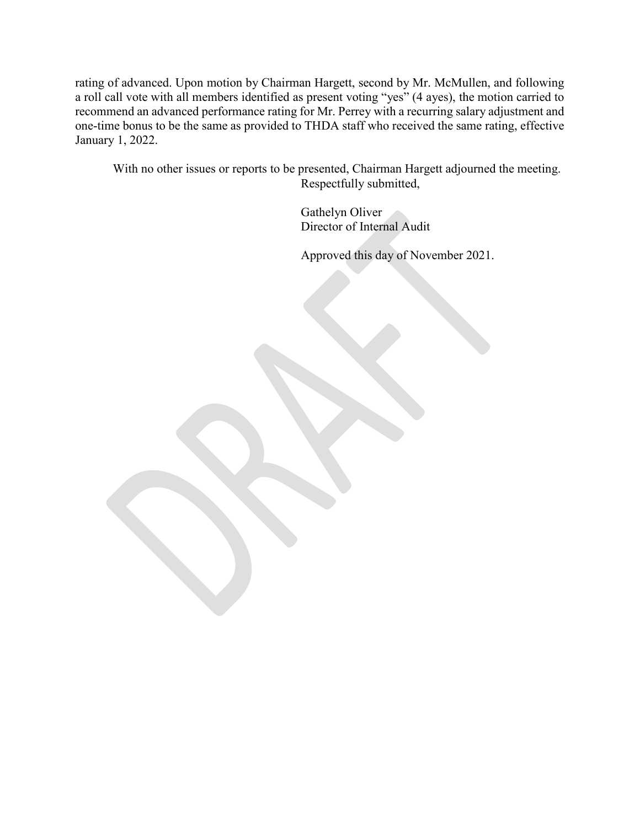rating of advanced. Upon motion by Chairman Hargett, second by Mr. McMullen, and following a roll call vote with all members identified as present voting "yes" (4 ayes), the motion carried to recommend an advanced performance rating for Mr. Perrey with a recurring salary adjustment and one-time bonus to be the same as provided to THDA staff who received the same rating, effective January 1, 2022.

With no other issues or reports to be presented, Chairman Hargett adjourned the meeting. Respectfully submitted,

> Gathelyn Oliver Director of Internal Audit

Approved this day of November 2021.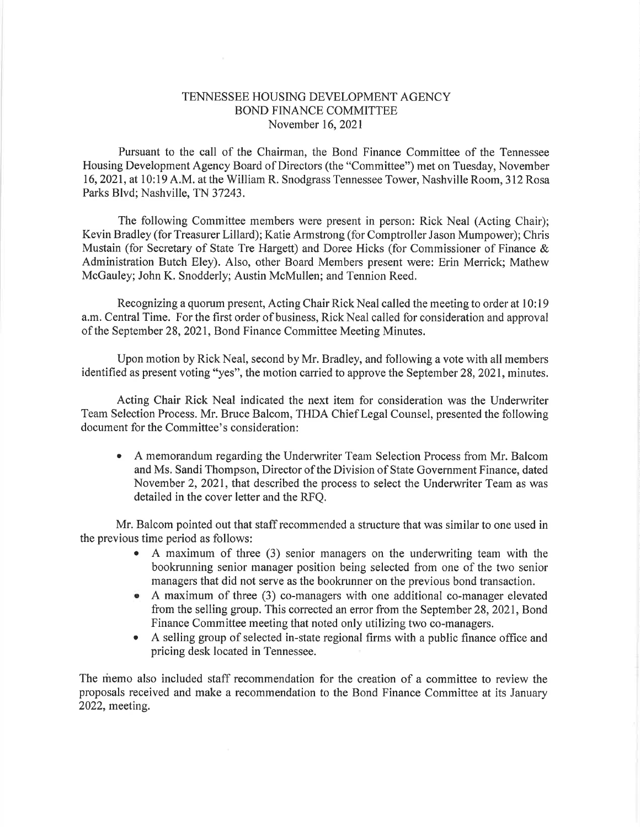## TENNESSEE HOUSING DEVELOPMENT AGENCY BOND FINANCE COMMITTEE November 16,2021

Pursuant to the call of the Chairman, the Bond Finance Committee of the Tennessee Housing Development Agency Board of Directors (the "Committee") met on Tuesday, November 16,2021, at 10:19 A.M. at the William R. Snodgrass Tennessee Tower, Nashville Room, 312 Rosa Parks Blvd; Nashville, TN 37243.

The following Committee members were present in person: Rick Neal (Acting Chair); Kevin Bradley (for Treasurer Lillard); Katie Armstrong (for Comptroller Jason Mumpower); Chris Mustain (for Secretary of State Tre Hargett) and Doree Hicks (for Commissioner of Finance & Administration Butch Eley). Also, other Board Members present were: Erin Merrick; Mathew McGauley; John K. Snodderly; Austin McMullen; and Tennion Reed.

Recognizing a quorum present, Acting Chair Rick Neal called the meeting to order at 10:19 a.m. Central Time. For the first order of business, Rick Neal called for consideration and approval of the September 28,2021, Bond Finance Committee Meeting Minutes.

Upon motion by Rick Neal, second by Mr. Bradley, and following a vote with all members identified as present voting "yes", the motion carried to approve the September 28, 2021, minutes.

Acting Chair Rick Neal indicated the next item for consideration was the Underwriter Team Selection Process. Mr. Bruce Balcom, THDA Chief Legal Counsel, presented the following document for the Committee's consideration:

A memorandum regarding the Underwriter Team Selection Process from Mr. Balcom a and Ms. Sandi Thompson, Director of the Division of State Government Finance, dated November 2,202I, that described the process to select the Underwriter Team as was detailed in the cover letter and the RFQ.

Mr. Balcom pointed out that staff recommended a structure that was similar to one used in the previous time period as follows:

- o A maximum of three (3) senior managers on the underwriting team with the bookrunning senior manager position being selected from one of the two senior managers that did not serve as the bookrunner on the previous bond transaction.
- o A maximum of three (3) co-managers with one additional co-manager elevated from the selling group. This corrected an error from the September 28, 2021, Bond Finance Committee meeting that noted only utilizing two co-managers.
- . <sup>A</sup>selling group of selected in-state regional firms with a public finance office and pricing desk located in Tennessee.

The memo also included staff recommendation for the creation of a committee to review the proposals received and make a recommendation to the Bond Finance Committee at its January 2022, meeting,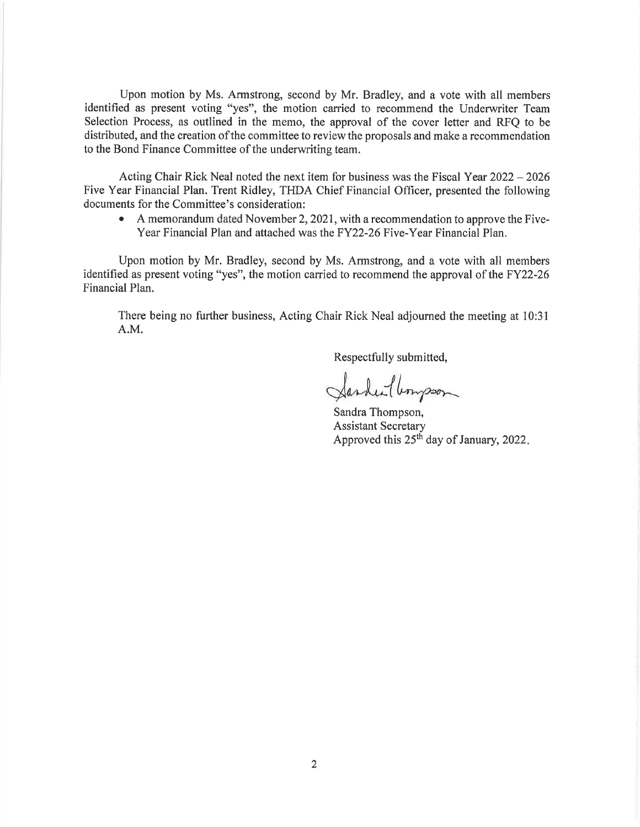Upon motion by Ms. Armstrong, second by Mr. Bradley, and a vote with all members identified as present voting "yes", the motion carried to recommend the Underwriter Team Selection Process, as outlined in the memo, the approval of the cover letter and RFQ to be distributed, and the creation of the committee to review the proposals and make a recommendation to the Bond Finance Committee of the underwriting team.

Acting Chair Rick Neal noted the next item for business was the Fiscal Year 2022 - 2026 Five Year Financial Plan. Trent Ridley, THDA Chief Financial Officer, presented the following documents for the Committee's consideration:

• A memorandum dated November 2, 2021, with a recommendation to approve the Five-Year Financial Plan and attached was the FY22-26 Five-Year Financial Plan.

Upon motion by Mr. Bradley, second by Ms. Armstrong, and a vote with all members identified as present voting "yes", the motion carried to recommend the approval of the FY22-26 Financial Plan.

There being no further business, Acting Chair Rick Neal adjourned the meeting at 10:31 A.M.

Respectfully submitted,

Sarden lumpson

Sandra Thompson, Assistant Secretary Approved this  $25<sup>th</sup>$  day of January, 2022.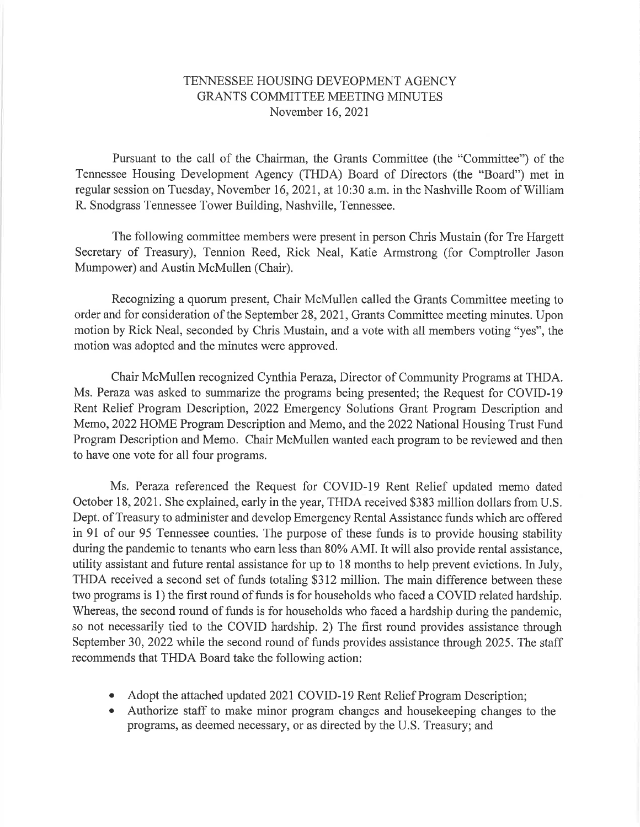## TENNESSEE HOUSING DEVEOPMENT AGENCY GRANTS COMMITTEE MEETING MINUTES November 16,2021

Pursuant to the call of the Chairman, the Grants Committee (the "Committee") of the Tennessee Housing Development Agency (THDA) Board of Directors (the "Board") met in regular session on Tuesday, November 16,202I, at 10:30 a.m. in the Nashville Room of William R. Snodgrass Tennessee Tower Building, Nashville, Tennessee.

The following committee members were present in person Chris Mustain (for Tre Hargett Secretary of Treasury), Tennion Reed, Rick Neal, Katie Armstrong (for Comptroller Jason Mumpower) and Austin McMullen (Chair).

Recognizing a quorum present, Chair McMullen called the Grants Committee meeting to order and for consideration of the September 28,202t, Grants Committee meeting minutes. Upon motion by Rick Neal, seconded by Chris Mustain, and a vote with all members voting "yes", the motion was adopted and the minutes were approved.

Chair McMullen recognized Cynthia Peraza, Director of Community Programs at THDA. Ms. Peraza was asked to summarize the programs being presented; the Request for COVID-l9 Rent Relief Program Description, 2022 Emergency Solutions Grant Program Description and Memo, 2022 HOME Program Description and Memo, and the 2022 National Housing Trust Fund Program Description and Memo. Chair McMullen wanted each program to be reviewed and then to have one vote for all four programs.

Ms. Peraza referenced the Request for COVID-l9 Rent Relief updated memo dated October 18,202I. She explained, early in the year, THDA received \$383 million dollars from U.S. Dept. of Treasury to administer and develop Emergency Rental Assistance funds which are offered in 91 of our 95 Tennessee counties. The purpose of these funds is to provide housing stability during the pandemic to tenants who earn less than 80% AMI. It will also provide rental assistance, utility assistant and future rental assistance for up to 18 months to help prevent evictions. In July, THDA received a second set of funds totaling \$312 million. The main difference between these two programs is l) the first round of funds is for households who faced a COVID related hardship. Whereas, the second round of funds is for households who faced a hardship during the pandemic, so not necessarily tied to the COVID hardship. 2) The first round provides assistance through September 30,2022 while the second round of funds provides assistance through 2025. The staff recommends that THDA Board take the following action:

- Adopt the attached updated 2021 COVID-19 Rent Relief Program Description;
- o Authorize staff to make minor program changes and housekeeping changes to the programs, as deemed necessary, or as directed by the U.S. Treasury; and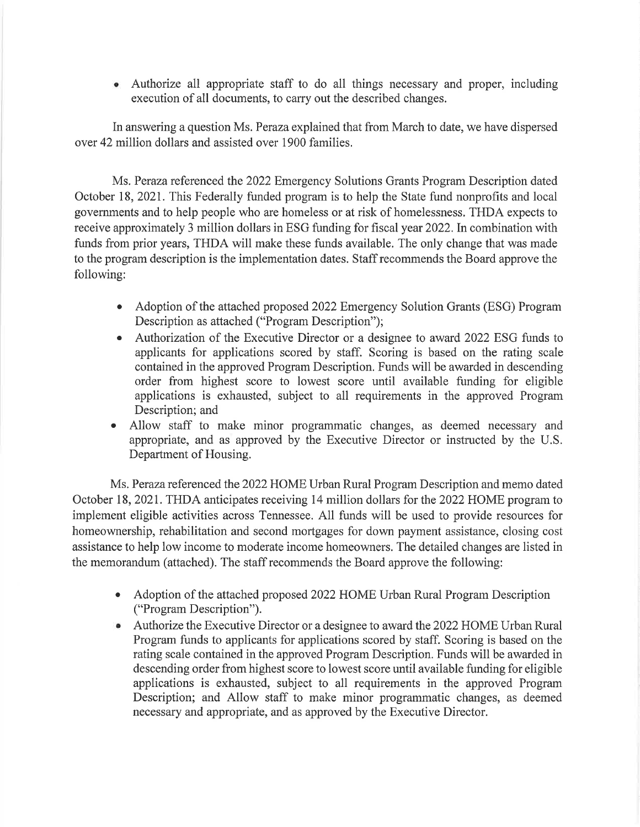Authorize all appropriate staff to do all things necessary and proper, including a execution of all documents, to carry out the described changes.

In answering a question Ms. Peraza explained that from March to date, we have dispersed over 42 million dollars and assisted over 1900 families.

Ms. Peraza referenced the 2022 Emergency Solutions Grants Program Description dated October 18,2021. This Federally funded program is to help the State fund nonprofits and local governments and to help people who are homeless or at risk of homelessness. THDA expects to receive approximately 3 million dollars in ESG funding for fiscal year 2022. In combination with funds from prior years, THDA will make these funds available. The only change that was made to the program description is the implementation dates. Staff recommends the Board approve the following:

- Adoption of the attached proposed 2022 Emergency Solution Grants (ESG) Program Description as attached ("Program Description");
- Authorization of the Executive Director or a designee to award 2022 ESG funds to applicants for applications scored by staff. Scoring is based on the rating scale contained in the approved Program Description. Funds will be awarded in descending order from highest score to lowest score until available funding for eligible applications is exhausted, subject to all requirements in the approved Program Description; and
- Allow staff to make minor programmatic changes, as deemed necessary and o appropriate, and as approved by the Executive Director or instructed by the U.S. Department of Housing.

Ms. Peraza referenced the 2022 HOME Urban Rural Program Description and memo dated October 18, 2021. THDA anticipates receiving 14 million dollars for the 2022 HOME program to implement eligible activities across Tennessee. All funds will be used to provide resources for homeownership, rehabilitation and second mortgages for down payment assistance, closing cost assistance to help low income to moderate income homeowners. The detailed changes are listed in the memorandum (attached). The staff recommends the Board approve the following:

- Adoption of the attached proposed 2022 HOME Urban Rural Program Description ("Program Description").
- Authorize the Executive Director or a designee to award the 2022 HOME Urban Rural Program funds to applicants for applications scored by staff. Scoring is based on the rating scale contained in the approved Program Description. Funds will be awarded in descending order from highest score to lowest score until available funding for eligible applications is exhausted, subject to all requirements in the approved Program Description; and Allow staff to make minor programmatic changes, as deemed necessary and appropriate, and as approved by the Executive Director.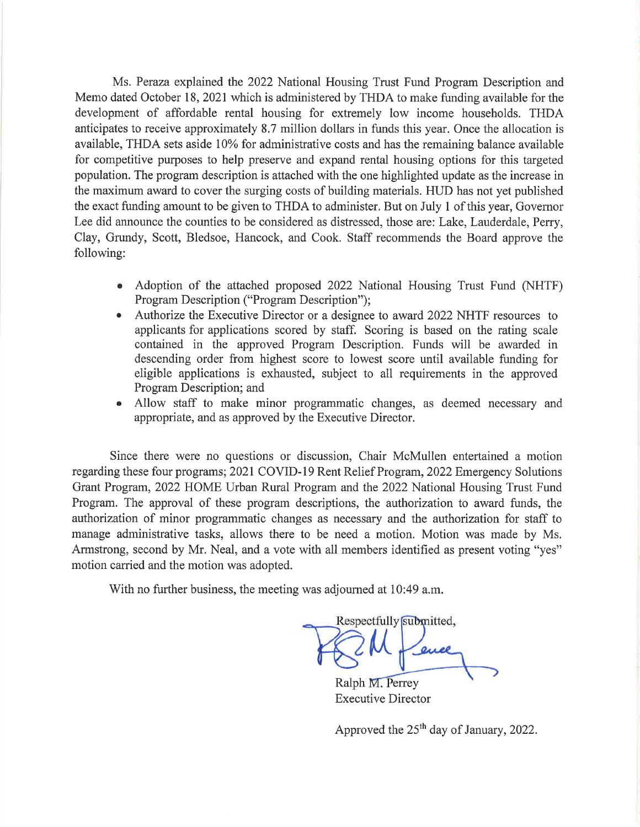Ms. Peraza explained the 2022 National Housing Trust Fund Program Description and Memo dated October 18, 2021 which is administered by THDA to make funding available for the development of affordable rental housing for extremely low income households. THDA anticipates to receive approximately 8.7 million dollars in funds this year. Once the allocation is available, THDA sets aside 10% for administrative costs and has the remaining balance available for competitive purposes to help preserve and expand rental housing options for this targeted population. The program description is attached with the one highlighted update as the increase in the maximum award to cover the surging costs of building materials. HUD has not yet published the exact funding amount to be given to THDA to administer. But on July 1 of this year, Govemor Lee did announce the counties to be considered as distressed, those are: Lake, Lauderdale, Perry, Clay, Grundy, Scott, Bledsoe, Hancock, and Cook. Staff recommends the Board approve the following:

- Adoption of the attached proposed 2022 National Housing Trust Fund (NHTF) Program Description ("Program Description");
- Authorize the Executive Director or a designee to award 2022 NHTF resources to applicants for applications scored by staff. Scoring is based on the rating scale contained in the approved Program Description. Funds will be awarded in descending order from highest score to lowest score until available funding for eligible applications is exhausted, subject to all requirements in the approved Program Description; and
- Allow staff to make minor programmatic changes, as deemed necessary and appropriate, and as approved by the Executive Director.

Since there were no questions or discussion, Chair McMullen entertained a motion regarding these four programs; 2021 COVID-19 Rent Relief Program, 2022 Emergency Solutions Grant Program, 2022 HOME Urban Rural Program and the 2022 National Housing Trust Fund Program. The approval of these program descriptions, the authorization to award funds, the authorization of minor programmatic changes as necessary and the authorization for staff to manage administrative tasks, allows there to be need a motion. Motion was made by Ms. Armstrong, second by Mr. Neal, and a vote with all members identified as present voting "yes" motion carried and the motion was adopted.

With no further business, the meeting was adjourned at 10:49 a.m.

Respectfully submitted,  $\boldsymbol{\mathsf{M}}$ 

Ralph M. Perrey Executive Director

Approved the  $25<sup>th</sup>$  day of January, 2022.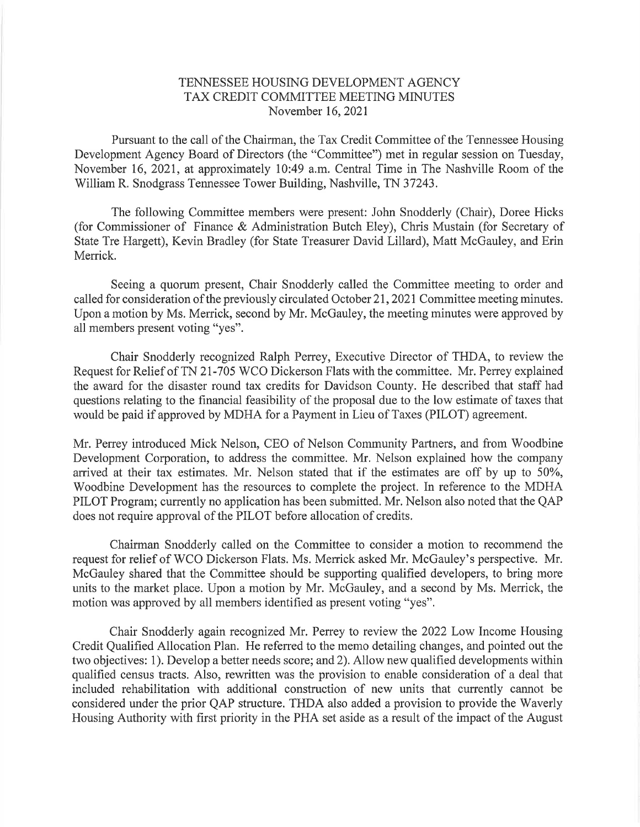## TENNESSEE HOUSING DEVELOPMENT AGENCY TAX CREDIT COMMITTEE MEETING MINUTES November 16,202I

Pursuant to the call of the Chairman, the Tax Credit Committee of the Tennessee Housing Development Agency Board of Directors (the "Committee") met in regular session on Tuesday, November 16,2021, at approximately 10:49 a.m. Central Time in The Nashville Room of the William R. Snodgrass Tennessee Tower Building, Nashville, TN 37243.

The following Committee members were present: John Snodderly (Chair), Doree Hicks (for Commissioner of Finance & Administration Butch Eley), Chris Mustain (for Secretary of State Tre Hargett), Kevin Bradley (for State Treasurer David Lillard), Matt McGauley, and Erin Merrick.

Seeing a quorum present, Chair Snodderly called the Committee meeting to order and called for consideration of the previously circulated October 21,202I Committee meeting minutes. Upon a motion by Ms. Merrick, second by Mr. McGauley, the meeting minutes were approved by all members present voting "yes".

Chair Snodderly recognized Ralph Perrey, Executive Director of THDA, to review the Request for Relief of TN 21-705 WCO Dickerson Flats with the committee. Mr. Perrey explained the award for the disaster round tax credits for Davidson County. He described that staff had questions relating to the financial feasibility of the proposal due to the low estimate of taxes that would be paid if approved by MDHA for a Payment in Lieu of Taxes (PILOT) agreement.

Mr. Perrey introduced Mick Nelson, CEO of Nelson Community Partners, and from Woodbine Development Corporation, to address the committee. Mr. Nelson explained how the company arrived at their tax estimates. Mr. Nelson stated that if the estimates are off by up to 50%, Woodbine Development has the resources to complete the project. In reference to the MDHA PILOT Program; currently no application has been submitted. Mr. Nelson also noted that the QAP does not require approval of the PILOT before allocation of credits.

Chairman Snodderly called on the Committee to consider a motion to recommend the request for relief of WCO Dickerson Flats. Ms. Menick asked Mr. McGauley's perspective. Mr. McGauley shared that the Committee should be supporting qualified developers, to bring more units to the market place. Upon a motion by Mr. McGauley, and a second by Ms. Merrick, the motion was approved by all members identified as present voting "yes".

Chair Snodderly again recognized Mr. Perrey to review the 2022 Low Income Housing Credit Qualified Allocation Plan. He referred to the memo detailing changes, and pointed out the two objectives: 1). Develop a better needs score; and 2). Allow new qualified developments within qualified census tracts. Also, rewritten was the provision to enable consideration of a deal that included rehabilitation with additional construction of new units that currently cannot be considered under the prior QAP structure. THDA also added a provision to provide the Waverly Housing Authority with first priority in the PHA set aside as a result of the impact of the August